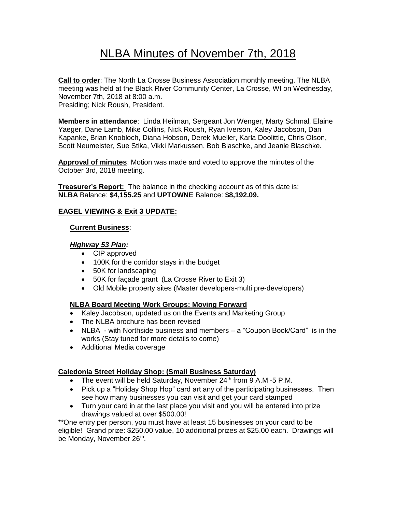# NLBA Minutes of November 7th, 2018

**Call to order**: The North La Crosse Business Association monthly meeting. The NLBA meeting was held at the Black River Community Center, La Crosse, WI on Wednesday, November 7th, 2018 at 8:00 a.m. Presiding; Nick Roush, President.

**Members in attendance**: Linda Heilman, Sergeant Jon Wenger, Marty Schmal, Elaine Yaeger, Dane Lamb, Mike Collins, Nick Roush, Ryan Iverson, Kaley Jacobson, Dan Kapanke, Brian Knobloch, Diana Hobson, Derek Mueller, Karla Doolittle, Chris Olson, Scott Neumeister, Sue Stika, Vikki Markussen, Bob Blaschke, and Jeanie Blaschke.

**Approval of minutes**: Motion was made and voted to approve the minutes of the October 3rd, 2018 meeting.

**Treasurer's Report:** The balance in the checking account as of this date is: **NLBA** Balance: **\$4,155.25** and **UPTOWNE** Balance: **\$8,192.09.**

## **EAGEL VIEWING & Exit 3 UPDATE:**

#### **Current Business**:

#### *Highway 53 Plan:*

- CIP approved
- 100K for the corridor stays in the budget
- 50K for landscaping
- 50K for façade grant (La Crosse River to Exit 3)
- Old Mobile property sites (Master developers-multi pre-developers)

## **NLBA Board Meeting Work Groups: Moving Forward**

- Kaley Jacobson, updated us on the Events and Marketing Group
- The NLBA brochure has been revised
- NLBA with Northside business and members a "Coupon Book/Card" is in the works (Stay tuned for more details to come)
- Additional Media coverage

## **Caledonia Street Holiday Shop: (Small Business Saturday)**

- The event will be held Saturday, November  $24<sup>th</sup>$  from 9 A.M -5 P.M.
- Pick up a "Holiday Shop Hop" card art any of the participating businesses. Then see how many businesses you can visit and get your card stamped
- Turn your card in at the last place you visit and you will be entered into prize drawings valued at over \$500.00!

\*\*One entry per person, you must have at least 15 businesses on your card to be eligible! Grand prize: \$250.00 value, 10 additional prizes at \$25.00 each. Drawings will be Monday, November 26<sup>th</sup>.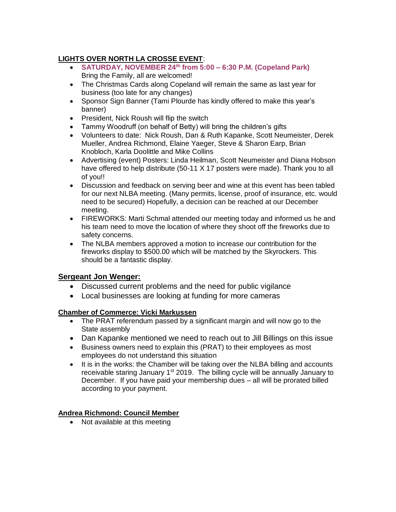## **LIGHTS OVER NORTH LA CROSSE EVENT**:

- **SATURDAY, NOVEMBER 24th from 5:00 – 6:30 P.M. (Copeland Park)** Bring the Family, all are welcomed!
- The Christmas Cards along Copeland will remain the same as last year for business (too late for any changes)
- Sponsor Sign Banner (Tami Plourde has kindly offered to make this year's banner)
- President, Nick Roush will flip the switch
- Tammy Woodruff (on behalf of Betty) will bring the children's gifts
- Volunteers to date: Nick Roush, Dan & Ruth Kapanke, Scott Neumeister, Derek Mueller, Andrea Richmond, Elaine Yaeger, Steve & Sharon Earp, Brian Knobloch, Karla Doolittle and Mike Collins
- Advertising (event) Posters: Linda Heilman, Scott Neumeister and Diana Hobson have offered to help distribute (50-11 X 17 posters were made). Thank you to all of you!!
- Discussion and feedback on serving beer and wine at this event has been tabled for our next NLBA meeting. (Many permits, license, proof of insurance, etc. would need to be secured) Hopefully, a decision can be reached at our December meeting.
- FIREWORKS: Marti Schmal attended our meeting today and informed us he and his team need to move the location of where they shoot off the fireworks due to safety concerns.
- The NLBA members approved a motion to increase our contribution for the fireworks display to \$500.00 which will be matched by the Skyrockers. This should be a fantastic display.

## **Sergeant Jon Wenger:**

- Discussed current problems and the need for public vigilance
- Local businesses are looking at funding for more cameras

## **Chamber of Commerce: Vicki Markussen**

- The PRAT referendum passed by a significant margin and will now go to the State assembly
- Dan Kapanke mentioned we need to reach out to Jill Billings on this issue
- Business owners need to explain this (PRAT) to their employees as most employees do not understand this situation
- It is in the works: the Chamber will be taking over the NLBA billing and accounts receivable staring January  $1<sup>st</sup> 2019$ . The billing cycle will be annually January to December. If you have paid your membership dues – all will be prorated billed according to your payment.

## **Andrea Richmond: Council Member**

• Not available at this meeting